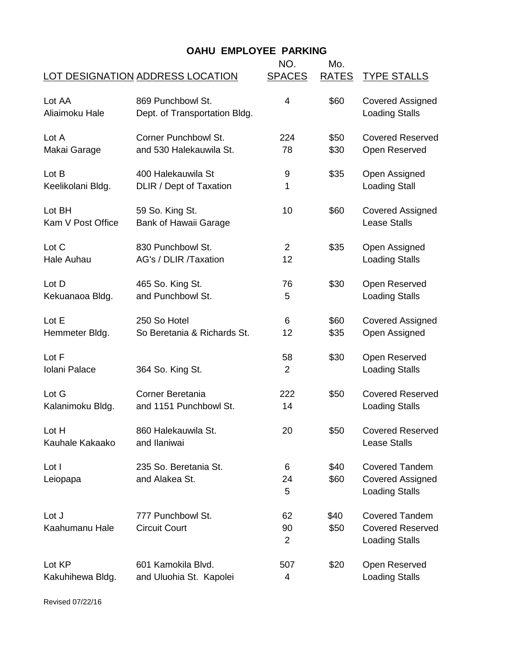## **OAHU EMPLOYEE PARKING**

| <b>LOT DESIGNATION ADDRESS LOCATION</b> |                                                    | NO.<br><b>SPACES</b>       | Mo.<br><b>RATES</b> | <b>TYPE STALLS</b>                                                        |
|-----------------------------------------|----------------------------------------------------|----------------------------|---------------------|---------------------------------------------------------------------------|
| Lot AA<br>Aliaimoku Hale                | 869 Punchbowl St.<br>Dept. of Transportation Bldg. | 4                          | \$60                | <b>Covered Assigned</b><br><b>Loading Stalls</b>                          |
| Lot A                                   | <b>Corner Punchbowl St.</b>                        | 224                        | \$50                | <b>Covered Reserved</b>                                                   |
| Makai Garage                            | and 530 Halekauwila St.                            | 78                         | \$30                | Open Reserved                                                             |
| Lot B                                   | 400 Halekauwila St                                 | 9                          | \$35                | Open Assigned                                                             |
| Keelikolani Bldg.                       | DLIR / Dept of Taxation                            | 1                          |                     | <b>Loading Stall</b>                                                      |
| Lot BH<br>Kam V Post Office             | 59 So. King St.<br><b>Bank of Hawaii Garage</b>    | 10                         | \$60                | <b>Covered Assigned</b><br><b>Lease Stalls</b>                            |
| Lot C                                   | 830 Punchbowl St.                                  | $\overline{2}$             | \$35                | Open Assigned                                                             |
| Hale Auhau                              | AG's / DLIR /Taxation                              | 12                         |                     | <b>Loading Stalls</b>                                                     |
| Lot D                                   | 465 So. King St.                                   | 76                         | \$30                | Open Reserved                                                             |
| Kekuanaoa Bldg.                         | and Punchbowl St.                                  | 5                          |                     | <b>Loading Stalls</b>                                                     |
| Lot E                                   | 250 So Hotel                                       | 6                          | \$60                | <b>Covered Assigned</b>                                                   |
| Hemmeter Bldg.                          | So Beretania & Richards St.                        | 12                         | \$35                | Open Assigned                                                             |
| Lot F<br>Iolani Palace                  | 364 So. King St.                                   | 58<br>$\overline{2}$       | \$30                | Open Reserved<br><b>Loading Stalls</b>                                    |
| Lot G                                   | <b>Corner Beretania</b>                            | 222                        | \$50                | <b>Covered Reserved</b>                                                   |
| Kalanimoku Bldg.                        | and 1151 Punchbowl St.                             | 14                         |                     | <b>Loading Stalls</b>                                                     |
| Lot H<br>Kauhale Kakaako                | 860 Halekauwila St.<br>and Ilaniwai                | 20                         | \$50                | <b>Covered Reserved</b><br><b>Lease Stalls</b>                            |
| Lot I<br>Leiopapa                       | 235 So. Beretania St.<br>and Alakea St.            | 6<br>24<br>5               | \$40<br>\$60        | <b>Covered Tandem</b><br><b>Covered Assigned</b><br><b>Loading Stalls</b> |
| Lot J<br>Kaahumanu Hale                 | 777 Punchbowl St.<br><b>Circuit Court</b>          | 62<br>90<br>$\overline{2}$ | \$40<br>\$50        | <b>Covered Tandem</b><br><b>Covered Reserved</b><br><b>Loading Stalls</b> |
| Lot KP                                  | 601 Kamokila Blvd.                                 | 507                        | \$20                | Open Reserved                                                             |
| Kakuhihewa Bldg.                        | and Uluohia St. Kapolei                            | 4                          |                     | <b>Loading Stalls</b>                                                     |

Revised 07/22/16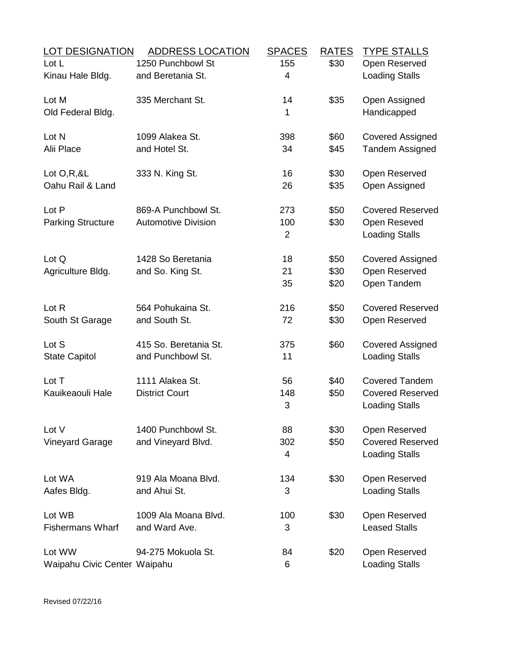| <b>LOT DESIGNATION</b>       | <b>ADDRESS LOCATION</b>    | <b>SPACES</b> | <b>RATES</b> | <b>TYPE STALLS</b>                    |
|------------------------------|----------------------------|---------------|--------------|---------------------------------------|
| Lot L                        | 1250 Punchbowl St          | 155           | \$30         | Open Reserved                         |
| Kinau Hale Bldg.             | and Beretania St.          | 4             |              | <b>Loading Stalls</b>                 |
| Lot M                        | 335 Merchant St.           | 14            | \$35         | Open Assigned                         |
| Old Federal Bldg.            |                            | 1             |              | Handicapped                           |
| Lot N                        | 1099 Alakea St.            | 398           | \$60         | <b>Covered Assigned</b>               |
| Alii Place                   | and Hotel St.              | 34            | \$45         | <b>Tandem Assigned</b>                |
| Lot $O, R, 8L$               | 333 N. King St.            | 16            | \$30         | Open Reserved                         |
| Oahu Rail & Land             |                            | 26            | \$35         | Open Assigned                         |
| Lot P                        | 869-A Punchbowl St.        | 273           | \$50         | <b>Covered Reserved</b>               |
| <b>Parking Structure</b>     | <b>Automotive Division</b> | 100<br>2      | \$30         | Open Reseved<br><b>Loading Stalls</b> |
|                              |                            |               |              |                                       |
| Lot Q                        | 1428 So Beretania          | 18            | \$50         | <b>Covered Assigned</b>               |
| Agriculture Bldg.            | and So. King St.           | 21            | \$30         | Open Reserved                         |
|                              |                            | 35            | \$20         | Open Tandem                           |
| Lot R                        | 564 Pohukaina St.          | 216           | \$50         | <b>Covered Reserved</b>               |
| South St Garage              | and South St.              | 72            | \$30         | Open Reserved                         |
| Lot S                        | 415 So. Beretania St.      | 375           | \$60         | <b>Covered Assigned</b>               |
| <b>State Capitol</b>         | and Punchbowl St.          | 11            |              | <b>Loading Stalls</b>                 |
| Lot T                        | 1111 Alakea St.            | 56            | \$40         | <b>Covered Tandem</b>                 |
| Kauikeaouli Hale             | <b>District Court</b>      | 148           | \$50         | <b>Covered Reserved</b>               |
|                              |                            | 3             |              | <b>Loading Stalls</b>                 |
| Lot V                        | 1400 Punchbowl St.         | 88            | \$30         | Open Reserved                         |
| <b>Vineyard Garage</b>       | and Vineyard Blvd.         | 302           | \$50         | <b>Covered Reserved</b>               |
|                              |                            | 4             |              | <b>Loading Stalls</b>                 |
| Lot WA                       | 919 Ala Moana Blvd.        | 134           | \$30         | Open Reserved                         |
| Aafes Bldg.                  | and Ahui St.               | 3             |              | <b>Loading Stalls</b>                 |
| Lot WB                       | 1009 Ala Moana Blvd.       | 100           | \$30         | Open Reserved                         |
| <b>Fishermans Wharf</b>      | and Ward Ave.              | 3             |              | <b>Leased Stalls</b>                  |
| Lot WW                       | 94-275 Mokuola St.         | 84            | \$20         | Open Reserved                         |
| Waipahu Civic Center Waipahu |                            | 6             |              | <b>Loading Stalls</b>                 |